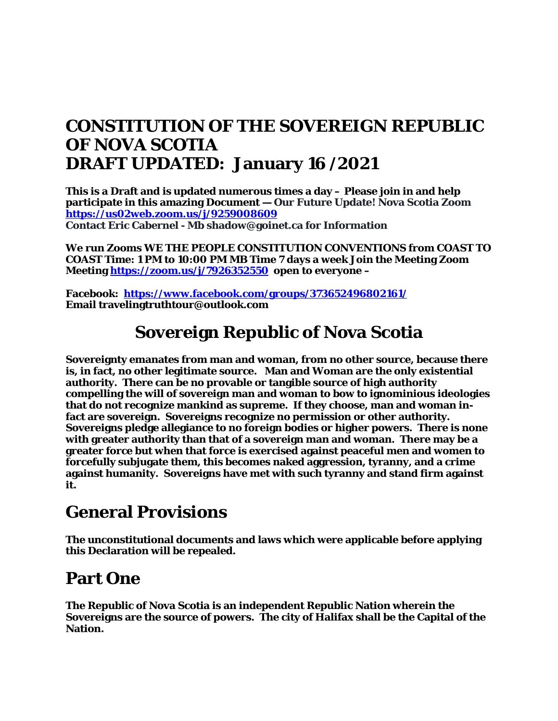### **CONSTITUTION OF THE SOVEREIGN REPUBLIC OF NOVA SCOTIA DRAFT UPDATED: January 16 /2021**

**This is a Draft and is updated numerous times a day – Please join in and help participate in this amazing Document — Our Future Update! Nova Scotia Zoom <https://us02web.zoom.us/j/9259008609> Contact Eric Cabernel - Mb shadow@goinet.ca for Information** 

**We run Zooms WE THE PEOPLE CONSTITUTION CONVENTIONS from COAST TO COAST Time: 1 PM to 10:00 PM MB Time 7 days a week Join the Meeting Zoom Meeting<https://zoom.us/j/7926352550>open to everyone –**

**Facebook:<https://www.facebook.com/groups/373652496802161/> Email travelingtruthtour@outlook.com**

### **Sovereign Republic of Nova Scotia**

**Sovereignty emanates from man and woman, from no other source, because there is, in fact, no other legitimate source. Man and Woman are the only existential authority. There can be no provable or tangible source of high authority compelling the will of sovereign man and woman to bow to ignominious ideologies that do not recognize mankind as supreme. If they choose, man and woman infact are sovereign. Sovereigns recognize no permission or other authority. Sovereigns pledge allegiance to no foreign bodies or higher powers. There is none with greater authority than that of a sovereign man and woman. There may be a greater force but when that force is exercised against peaceful men and women to forcefully subjugate them, this becomes naked aggression, tyranny, and a crime against humanity. Sovereigns have met with such tyranny and stand firm against it.**

### **General Provisions**

**The unconstitutional documents and laws which were applicable before applying this Declaration will be repealed.**

### **Part One**

**The Republic of Nova Scotia is an independent Republic Nation wherein the Sovereigns are the source of powers. The city of Halifax shall be the Capital of the Nation.**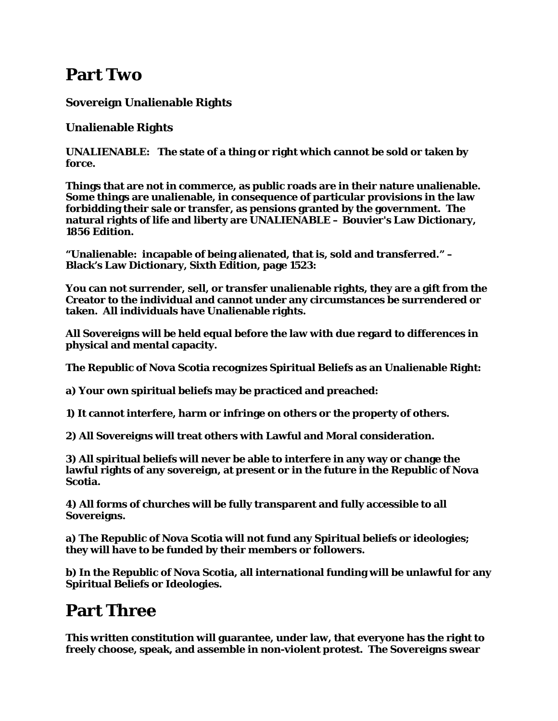### **Part Two**

**Sovereign Unalienable Rights**

**Unalienable Rights**

**UNALIENABLE: The state of a thing or right which cannot be sold or taken by force.**

**Things that are not in commerce, as public roads are in their nature unalienable. Some things are unalienable, in consequence of particular provisions in the law forbidding their sale or transfer, as pensions granted by the government. The natural rights of life and liberty are UNALIENABLE – Bouvier's Law Dictionary, 1856 Edition.**

**"Unalienable: incapable of being alienated, that is, sold and transferred." – Black's Law Dictionary, Sixth Edition, page 1523:**

**You can not surrender, sell, or transfer unalienable rights, they are a gift from the Creator to the individual and cannot under any circumstances be surrendered or taken. All individuals have Unalienable rights.**

**All Sovereigns will be held equal before the law with due regard to differences in physical and mental capacity.**

**The Republic of Nova Scotia recognizes Spiritual Beliefs as an Unalienable Right:**

**a) Your own spiritual beliefs may be practiced and preached:**

**1) It cannot interfere, harm or infringe on others or the property of others.**

**2) All Sovereigns will treat others with Lawful and Moral consideration.**

**3) All spiritual beliefs will never be able to interfere in any way or change the lawful rights of any sovereign, at present or in the future in the Republic of Nova Scotia.**

**4) All forms of churches will be fully transparent and fully accessible to all Sovereigns.**

**a) The Republic of Nova Scotia will not fund any Spiritual beliefs or ideologies; they will have to be funded by their members or followers.**

**b) In the Republic of Nova Scotia, all international funding will be unlawful for any Spiritual Beliefs or Ideologies.**

## **Part Three**

**This written constitution will guarantee, under law, that everyone has the right to freely choose, speak, and assemble in non-violent protest. The Sovereigns swear**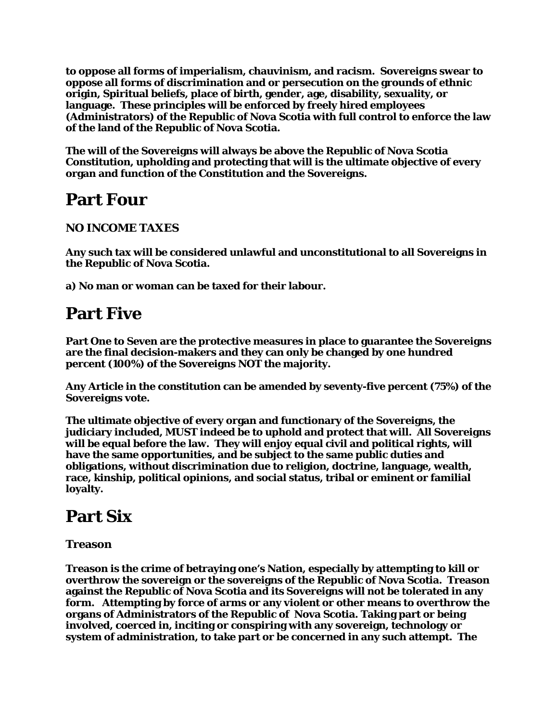**to oppose all forms of imperialism, chauvinism, and racism. Sovereigns swear to oppose all forms of discrimination and or persecution on the grounds of ethnic origin, Spiritual beliefs, place of birth, gender, age, disability, sexuality, or language. These principles will be enforced by freely hired employees (Administrators) of the Republic of Nova Scotia with full control to enforce the law of the land of the Republic of Nova Scotia.**

**The will of the Sovereigns will always be above the Republic of Nova Scotia Constitution, upholding and protecting that will is the ultimate objective of every organ and function of the Constitution and the Sovereigns.**

### **Part Four**

#### **NO INCOME TAXES**

**Any such tax will be considered unlawful and unconstitutional to all Sovereigns in the Republic of Nova Scotia.**

**a) No man or woman can be taxed for their labour.**

### **Part Five**

**Part One to Seven are the protective measures in place to guarantee the Sovereigns are the final decision-makers and they can only be changed by one hundred percent (100%) of the Sovereigns NOT the majority.** 

**Any Article in the constitution can be amended by seventy-five percent (75%) of the Sovereigns vote.**

**The ultimate objective of every organ and functionary of the Sovereigns, the judiciary included, MUST indeed be to uphold and protect that will. All Sovereigns will be equal before the law. They will enjoy equal civil and political rights, will have the same opportunities, and be subject to the same public duties and obligations, without discrimination due to religion, doctrine, language, wealth, race, kinship, political opinions, and social status, tribal or eminent or familial loyalty.**

### **Part Six**

#### **Treason**

**Treason is the crime of betraying one's Nation, especially by attempting to kill or overthrow the sovereign or the sovereigns of the Republic of Nova Scotia. Treason against the Republic of Nova Scotia and its Sovereigns will not be tolerated in any form. Attempting by force of arms or any violent or other means to overthrow the organs of Administrators of the Republic of Nova Scotia. Taking part or being involved, coerced in, inciting or conspiring with any sovereign, technology or system of administration, to take part or be concerned in any such attempt. The**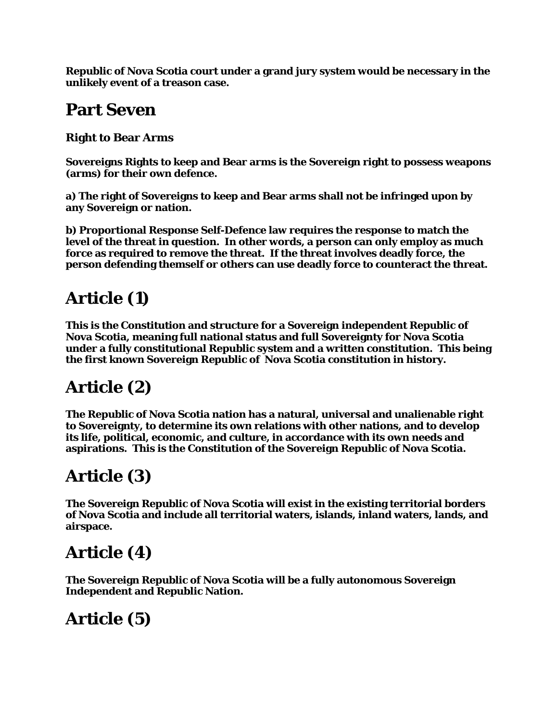**Republic of Nova Scotia court under a grand jury system would be necessary in the unlikely event of a treason case.**

### **Part Seven**

**Right to Bear Arms**

**Sovereigns Rights to keep and Bear arms is the Sovereign right to possess weapons (arms) for their own defence.**

**a) The right of Sovereigns to keep and Bear arms shall not be infringed upon by any Sovereign or nation.**

**b) Proportional Response Self-Defence law requires the response to match the level of the threat in question. In other words, a person can only employ as much force as required to remove the threat. If the threat involves deadly force, the person defending themself or others can use deadly force to counteract the threat.**

# **Article (1)**

**This is the Constitution and structure for a Sovereign independent Republic of Nova Scotia, meaning full national status and full Sovereignty for Nova Scotia under a fully constitutional Republic system and a written constitution. This being the first known Sovereign Republic of Nova Scotia constitution in history.**

## **Article (2)**

**The Republic of Nova Scotia nation has a natural, universal and unalienable right to Sovereignty, to determine its own relations with other nations, and to develop its life, political, economic, and culture, in accordance with its own needs and aspirations. This is the Constitution of the Sovereign Republic of Nova Scotia.**

# **Article (3)**

**The Sovereign Republic of Nova Scotia will exist in the existing territorial borders of Nova Scotia and include all territorial waters, islands, inland waters, lands, and airspace.**

## **Article (4)**

**The Sovereign Republic of Nova Scotia will be a fully autonomous Sovereign Independent and Republic Nation.**

# **Article (5)**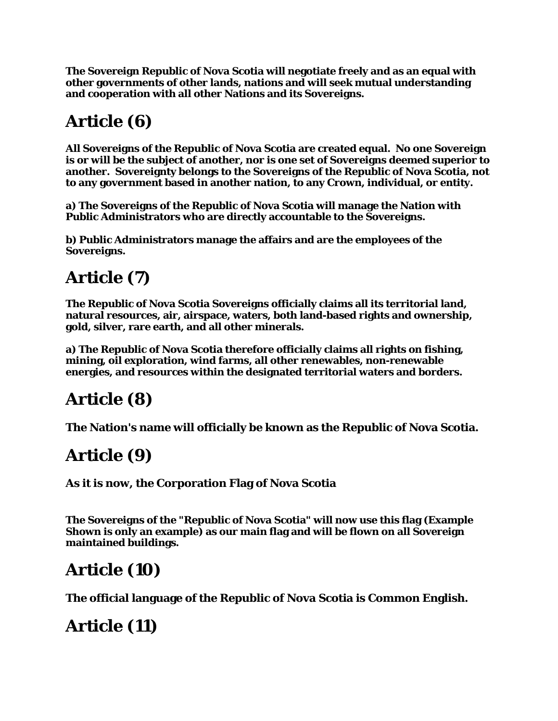**The Sovereign Republic of Nova Scotia will negotiate freely and as an equal with other governments of other lands, nations and will seek mutual understanding and cooperation with all other Nations and its Sovereigns.**

# **Article (6)**

**All Sovereigns of the Republic of Nova Scotia are created equal. No one Sovereign is or will be the subject of another, nor is one set of Sovereigns deemed superior to another. Sovereignty belongs to the Sovereigns of the Republic of Nova Scotia, not to any government based in another nation, to any Crown, individual, or entity.**

**a) The Sovereigns of the Republic of Nova Scotia will manage the Nation with Public Administrators who are directly accountable to the Sovereigns.**

**b) Public Administrators manage the affairs and are the employees of the Sovereigns.**

# **Article (7)**

**The Republic of Nova Scotia Sovereigns officially claims all its territorial land, natural resources, air, airspace, waters, both land-based rights and ownership, gold, silver, rare earth, and all other minerals.**

**a) The Republic of Nova Scotia therefore officially claims all rights on fishing, mining, oil exploration, wind farms, all other renewables, non-renewable energies, and resources within the designated territorial waters and borders.** 

## **Article (8)**

**The Nation's name will officially be known as the Republic of Nova Scotia.**

## **Article (9)**

**As it is now, the Corporation Flag of Nova Scotia**

**The Sovereigns of the "Republic of Nova Scotia" will now use this flag (Example Shown is only an example) as our main flag and will be flown on all Sovereign maintained buildings.**

## **Article (10)**

**The official language of the Republic of Nova Scotia is Common English.**

# **Article (11)**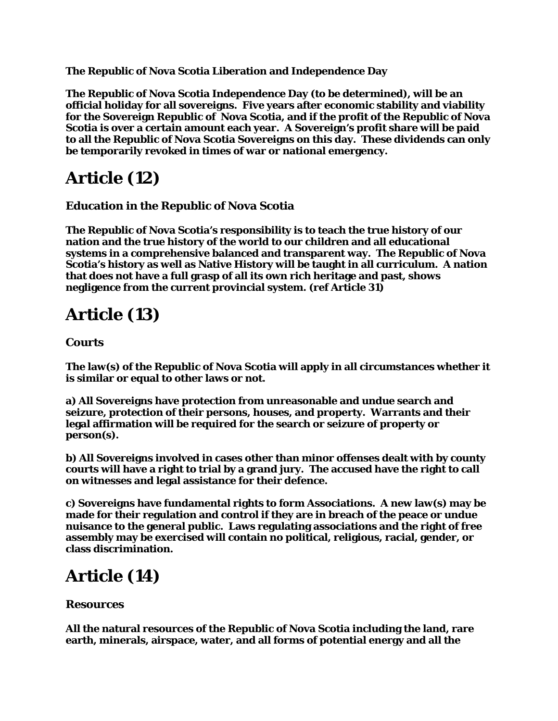**The Republic of Nova Scotia Liberation and Independence Day**

**The Republic of Nova Scotia Independence Day (to be determined), will be an official holiday for all sovereigns. Five years after economic stability and viability for the Sovereign Republic of Nova Scotia, and if the profit of the Republic of Nova Scotia is over a certain amount each year. A Sovereign's profit share will be paid to all the Republic of Nova Scotia Sovereigns on this day. These dividends can only be temporarily revoked in times of war or national emergency.**

### **Article (12)**

**Education in the Republic of Nova Scotia**

**The Republic of Nova Scotia's responsibility is to teach the true history of our nation and the true history of the world to our children and all educational systems in a comprehensive balanced and transparent way. The Republic of Nova Scotia's history as well as Native History will be taught in all curriculum. A nation that does not have a full grasp of all its own rich heritage and past, shows negligence from the current provincial system. (ref Article 31)**

## **Article (13)**

#### **Courts**

**The law(s) of the Republic of Nova Scotia will apply in all circumstances whether it is similar or equal to other laws or not.**

**a) All Sovereigns have protection from unreasonable and undue search and seizure, protection of their persons, houses, and property. Warrants and their legal affirmation will be required for the search or seizure of property or person(s).**

**b) All Sovereigns involved in cases other than minor offenses dealt with by county courts will have a right to trial by a grand jury. The accused have the right to call on witnesses and legal assistance for their defence.**

**c) Sovereigns have fundamental rights to form Associations. A new law(s) may be made for their regulation and control if they are in breach of the peace or undue nuisance to the general public. Laws regulating associations and the right of free assembly may be exercised will contain no political, religious, racial, gender, or class discrimination.**

### **Article (14)**

#### **Resources**

**All the natural resources of the Republic of Nova Scotia including the land, rare earth, minerals, airspace, water, and all forms of potential energy and all the**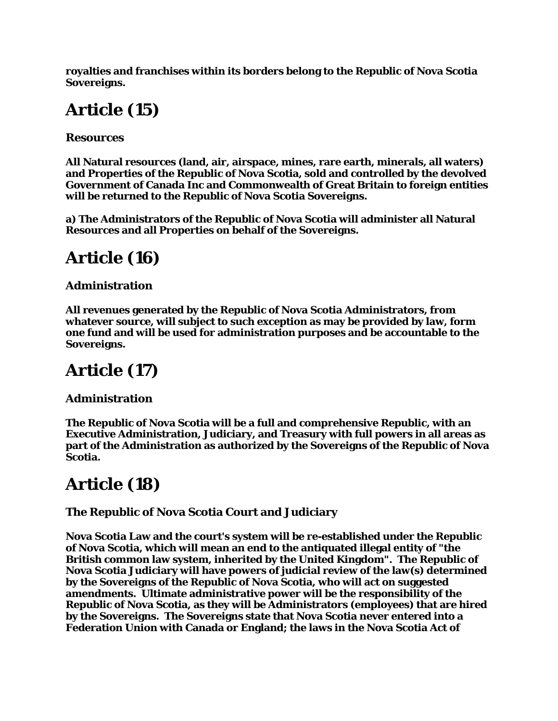**royalties and franchises within its borders belong to the Republic of Nova Scotia Sovereigns.**

# **Article (15)**

**Resources**

**All Natural resources (land, air, airspace, mines, rare earth, minerals, all waters) and Properties of the Republic of Nova Scotia, sold and controlled by the devolved Government of Canada Inc and Commonwealth of Great Britain to foreign entities will be returned to the Republic of Nova Scotia Sovereigns.**

**a) The Administrators of the Republic of Nova Scotia will administer all Natural Resources and all Properties on behalf of the Sovereigns.**

# **Article (16)**

#### **Administration**

**All revenues generated by the Republic of Nova Scotia Administrators, from whatever source, will subject to such exception as may be provided by law, form one fund and will be used for administration purposes and be accountable to the Sovereigns.**

# **Article (17)**

#### **Administration**

**The Republic of Nova Scotia will be a full and comprehensive Republic, with an Executive Administration, Judiciary, and Treasury with full powers in all areas as part of the Administration as authorized by the Sovereigns of the Republic of Nova Scotia.**

## **Article (18)**

#### **The Republic of Nova Scotia Court and Judiciary**

**Nova Scotia Law and the court's system will be re-established under the Republic of Nova Scotia, which will mean an end to the antiquated illegal entity of "the British common law system, inherited by the United Kingdom". The Republic of Nova Scotia Judiciary will have powers of judicial review of the law(s) determined by the Sovereigns of the Republic of Nova Scotia, who will act on suggested amendments. Ultimate administrative power will be the responsibility of the Republic of Nova Scotia, as they will be Administrators (employees) that are hired by the Sovereigns. The Sovereigns state that Nova Scotia never entered into a Federation Union with Canada or England; the laws in the Nova Scotia Act of**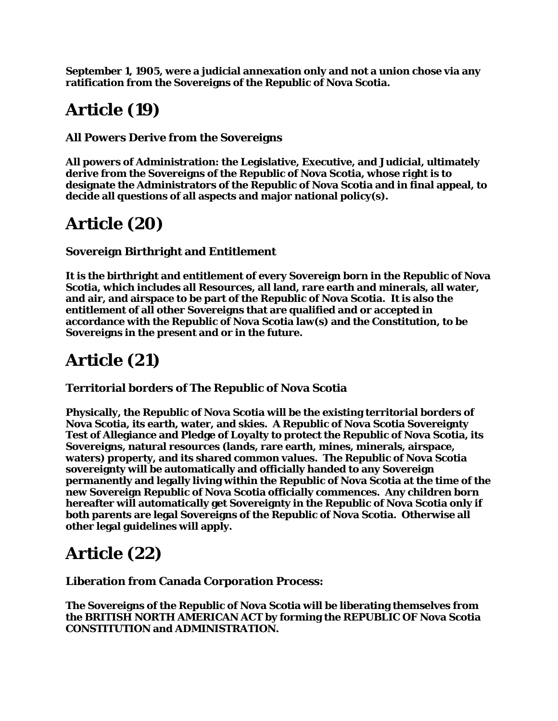**September 1, 1905, were a judicial annexation only and not a union chose via any ratification from the Sovereigns of the Republic of Nova Scotia.**

## **Article (19)**

**All Powers Derive from the Sovereigns**

**All powers of Administration: the Legislative, Executive, and Judicial, ultimately derive from the Sovereigns of the Republic of Nova Scotia, whose right is to designate the Administrators of the Republic of Nova Scotia and in final appeal, to decide all questions of all aspects and major national policy(s).**

## **Article (20)**

#### **Sovereign Birthright and Entitlement**

**It is the birthright and entitlement of every Sovereign born in the Republic of Nova Scotia, which includes all Resources, all land, rare earth and minerals, all water, and air, and airspace to be part of the Republic of Nova Scotia. It is also the entitlement of all other Sovereigns that are qualified and or accepted in accordance with the Republic of Nova Scotia law(s) and the Constitution, to be Sovereigns in the present and or in the future.**

## **Article (21)**

**Territorial borders of The Republic of Nova Scotia**

**Physically, the Republic of Nova Scotia will be the existing territorial borders of Nova Scotia, its earth, water, and skies. A Republic of Nova Scotia Sovereignty Test of Allegiance and Pledge of Loyalty to protect the Republic of Nova Scotia, its Sovereigns, natural resources (lands, rare earth, mines, minerals, airspace, waters) property, and its shared common values. The Republic of Nova Scotia sovereignty will be automatically and officially handed to any Sovereign permanently and legally living within the Republic of Nova Scotia at the time of the new Sovereign Republic of Nova Scotia officially commences. Any children born hereafter will automatically get Sovereignty in the Republic of Nova Scotia only if both parents are legal Sovereigns of the Republic of Nova Scotia. Otherwise all other legal guidelines will apply.**

### **Article (22)**

**Liberation from Canada Corporation Process:**

**The Sovereigns of the Republic of Nova Scotia will be liberating themselves from the BRITISH NORTH AMERICAN ACT by forming the REPUBLIC OF Nova Scotia CONSTITUTION and ADMINISTRATION.**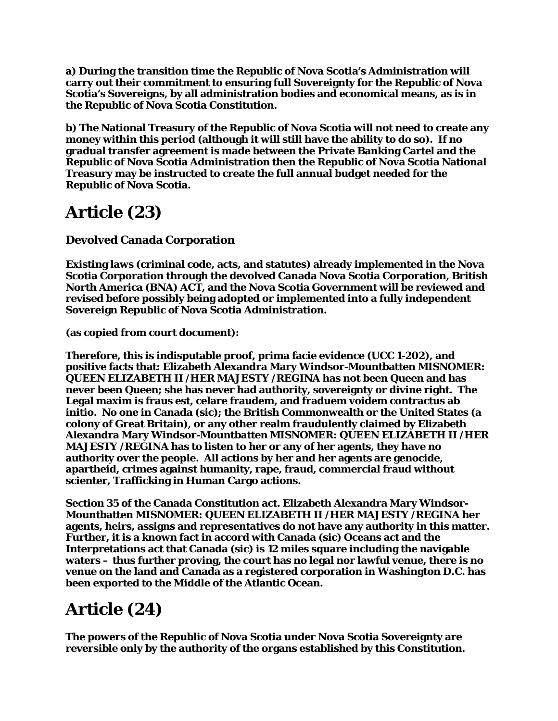**a) During the transition time the Republic of Nova Scotia's Administration will carry out their commitment to ensuring full Sovereignty for the Republic of Nova Scotia's Sovereigns, by all administration bodies and economical means, as is in the Republic of Nova Scotia Constitution.**

**b) The National Treasury of the Republic of Nova Scotia will not need to create any money within this period (although it will still have the ability to do so). If no gradual transfer agreement is made between the Private Banking Cartel and the Republic of Nova Scotia Administration then the Republic of Nova Scotia National Treasury may be instructed to create the full annual budget needed for the Republic of Nova Scotia.**

## **Article (23)**

**Devolved Canada Corporation**

**Existing laws (criminal code, acts, and statutes) already implemented in the Nova Scotia Corporation through the devolved Canada Nova Scotia Corporation, British North America (BNA) ACT, and the Nova Scotia Government will be reviewed and revised before possibly being adopted or implemented into a fully independent Sovereign Republic of Nova Scotia Administration.** 

**(as copied from court document):**

**Therefore, this is indisputable proof, prima facie evidence (UCC 1-202), and positive facts that: Elizabeth Alexandra Mary Windsor-Mountbatten MISNOMER: QUEEN ELIZABETH II /HER MAJESTY /REGINA has not been Queen and has never been Queen; she has never had authority, sovereignty or divine right. The Legal maxim is fraus est, celare fraudem, and fraduem voidem contractus ab initio. No one in Canada (sic); the British Commonwealth or the United States (a colony of Great Britain), or any other realm fraudulently claimed by Elizabeth Alexandra Mary Windsor-Mountbatten MISNOMER: QUEEN ELIZABETH II /HER MAJESTY /REGINA has to listen to her or any of her agents, they have no authority over the people. All actions by her and her agents are genocide, apartheid, crimes against humanity, rape, fraud, commercial fraud without scienter, Trafficking in Human Cargo actions.**

**Section 35 of the Canada Constitution act. Elizabeth Alexandra Mary Windsor-Mountbatten MISNOMER: QUEEN ELIZABETH II /HER MAJESTY /REGINA her agents, heirs, assigns and representatives do not have any authority in this matter. Further, it is a known fact in accord with Canada (sic) Oceans act and the Interpretations act that Canada (sic) is 12 miles square including the navigable waters – thus further proving, the court has no legal nor lawful venue, there is no venue on the land and Canada as a registered corporation in Washington D.C. has been exported to the Middle of the Atlantic Ocean.**

# **Article (24)**

**The powers of the Republic of Nova Scotia under Nova Scotia Sovereignty are reversible only by the authority of the organs established by this Constitution.**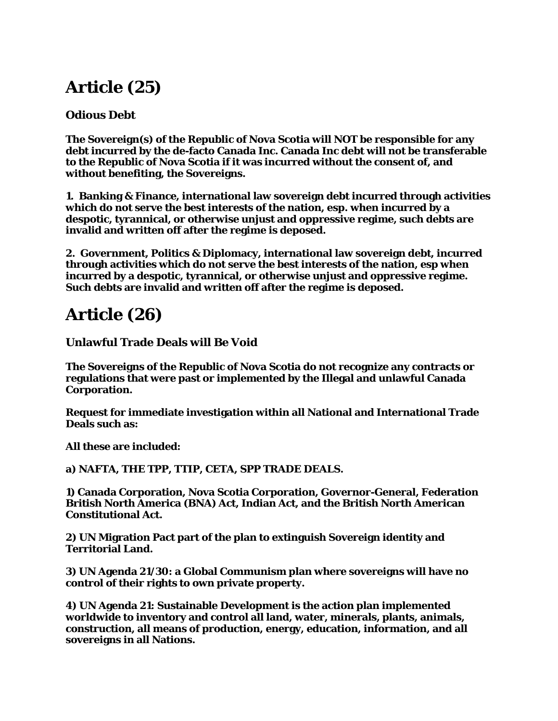## **Article (25)**

#### **Odious Debt**

**The Sovereign(s) of the Republic of Nova Scotia will NOT be responsible for any debt incurred by the de-facto Canada Inc. Canada Inc debt will not be transferable to the Republic of Nova Scotia if it was incurred without the consent of, and without benefiting, the Sovereigns.**

**1. Banking & Finance, international law sovereign debt incurred through activities which do not serve the best interests of the nation, esp. when incurred by a despotic, tyrannical, or otherwise unjust and oppressive regime, such debts are invalid and written off after the regime is deposed.**

**2. Government, Politics & Diplomacy, international law sovereign debt, incurred through activities which do not serve the best interests of the nation, esp when incurred by a despotic, tyrannical, or otherwise unjust and oppressive regime. Such debts are invalid and written off after the regime is deposed.**

### **Article (26)**

**Unlawful Trade Deals will Be Void**

**The Sovereigns of the Republic of Nova Scotia do not recognize any contracts or regulations that were past or implemented by the Illegal and unlawful Canada Corporation.**

**Request for immediate investigation within all National and International Trade Deals such as:**

**All these are included:**

**a) NAFTA, THE TPP, TTIP, CETA, SPP TRADE DEALS.**

**1) Canada Corporation, Nova Scotia Corporation, Governor-General, Federation British North America (BNA) Act, Indian Act, and the British North American Constitutional Act.**

**2) UN Migration Pact part of the plan to extinguish Sovereign identity and Territorial Land.**

**3) UN Agenda 21/30: a Global Communism plan where sovereigns will have no control of their rights to own private property.**

**4) UN Agenda 21: Sustainable Development is the action plan implemented worldwide to inventory and control all land, water, minerals, plants, animals, construction, all means of production, energy, education, information, and all sovereigns in all Nations.**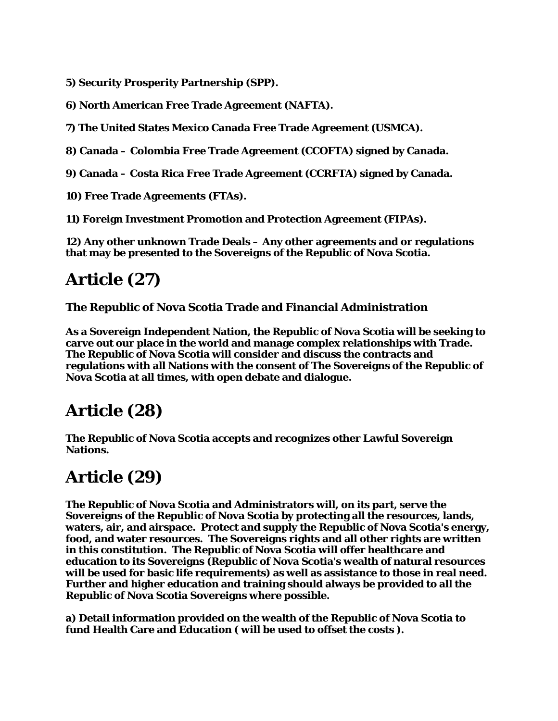**5) Security Prosperity Partnership (SPP).**

**6) North American Free Trade Agreement (NAFTA).**

**7) The United States Mexico Canada Free Trade Agreement (USMCA).**

**8) Canada – Colombia Free Trade Agreement (CCOFTA) signed by Canada.**

**9) Canada – Costa Rica Free Trade Agreement (CCRFTA) signed by Canada.**

**10) Free Trade Agreements (FTAs).**

**11) Foreign Investment Promotion and Protection Agreement (FIPAs).**

**12) Any other unknown Trade Deals – Any other agreements and or regulations that may be presented to the Sovereigns of the Republic of Nova Scotia.**

## **Article (27)**

**The Republic of Nova Scotia Trade and Financial Administration**

**As a Sovereign Independent Nation, the Republic of Nova Scotia will be seeking to carve out our place in the world and manage complex relationships with Trade. The Republic of Nova Scotia will consider and discuss the contracts and regulations with all Nations with the consent of The Sovereigns of the Republic of Nova Scotia at all times, with open debate and dialogue.**

### **Article (28)**

**The Republic of Nova Scotia accepts and recognizes other Lawful Sovereign Nations.**

### **Article (29)**

**The Republic of Nova Scotia and Administrators will, on its part, serve the Sovereigns of the Republic of Nova Scotia by protecting all the resources, lands, waters, air, and airspace. Protect and supply the Republic of Nova Scotia's energy, food, and water resources. The Sovereigns rights and all other rights are written in this constitution. The Republic of Nova Scotia will offer healthcare and education to its Sovereigns (Republic of Nova Scotia's wealth of natural resources will be used for basic life requirements) as well as assistance to those in real need. Further and higher education and training should always be provided to all the Republic of Nova Scotia Sovereigns where possible.**

**a) Detail information provided on the wealth of the Republic of Nova Scotia to fund Health Care and Education ( will be used to offset the costs ).**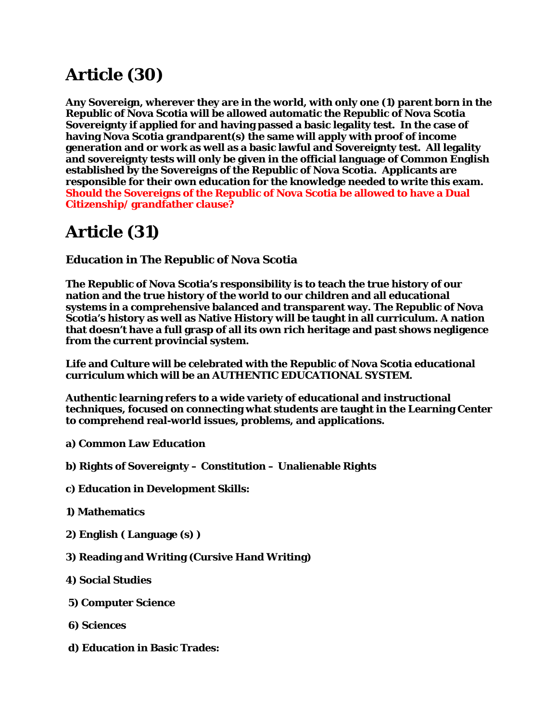## **Article (30)**

**Any Sovereign, wherever they are in the world, with only one (1) parent born in the Republic of Nova Scotia will be allowed automatic the Republic of Nova Scotia Sovereignty if applied for and having passed a basic legality test. In the case of having Nova Scotia grandparent(s) the same will apply with proof of income generation and or work as well as a basic lawful and Sovereignty test. All legality and sovereignty tests will only be given in the official language of Common English established by the Sovereigns of the Republic of Nova Scotia. Applicants are responsible for their own education for the knowledge needed to write this exam. Should the Sovereigns of the Republic of Nova Scotia be allowed to have a Dual Citizenship/ grandfather clause?**

## **Article (31)**

**Education in The Republic of Nova Scotia** 

**The Republic of Nova Scotia's responsibility is to teach the true history of our nation and the true history of the world to our children and all educational systems in a comprehensive balanced and transparent way. The Republic of Nova Scotia's history as well as Native History will be taught in all curriculum. A nation that doesn't have a full grasp of all its own rich heritage and past shows negligence from the current provincial system.**

**Life and Culture will be celebrated with the Republic of Nova Scotia educational curriculum which will be an AUTHENTIC EDUCATIONAL SYSTEM.**

**Authentic learning refers to a wide variety of educational and instructional techniques, focused on connecting what students are taught in the Learning Center to comprehend real-world issues, problems, and applications.**

- **a) Common Law Education**
- **b) Rights of Sovereignty – Constitution – Unalienable Rights**
- **c) Education in Development Skills:**
- **1) Mathematics**
- **2) English ( Language (s) )**
- **3) Reading and Writing (Cursive Hand Writing)**
- **4) Social Studies**
- **5) Computer Science**
- **6) Sciences**
- **d) Education in Basic Trades:**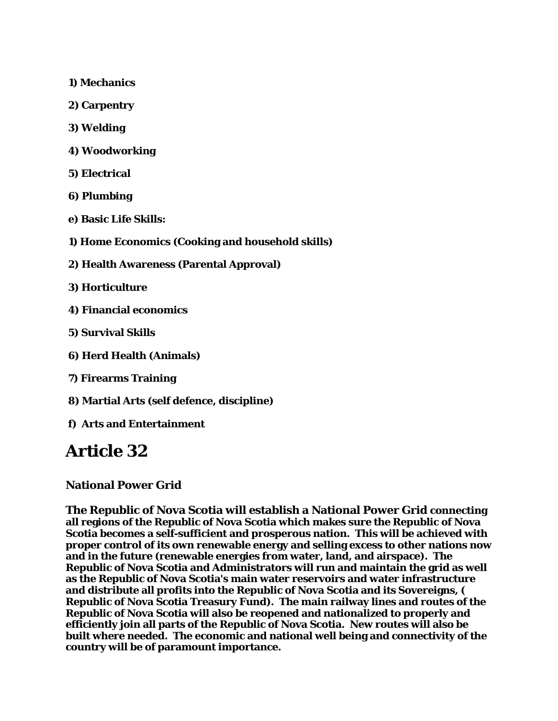- **1) Mechanics**
- **2) Carpentry**
- **3) Welding**
- **4) Woodworking**
- **5) Electrical**
- **6) Plumbing**
- **e) Basic Life Skills:**
- **1) Home Economics (Cooking and household skills)**
- **2) Health Awareness (Parental Approval)**
- **3) Horticulture**
- **4) Financial economics**
- **5) Survival Skills**
- **6) Herd Health (Animals)**
- **7) Firearms Training**
- **8) Martial Arts (self defence, discipline)**
- **f) Arts and Entertainment**

### **Article 32**

#### **National Power Grid**

**The Republic of Nova Scotia will establish a National Power Grid connecting all regions of the Republic of Nova Scotia which makes sure the Republic of Nova Scotia becomes a self-sufficient and prosperous nation. This will be achieved with proper control of its own renewable energy and selling excess to other nations now and in the future (renewable energies from water, land, and airspace). The Republic of Nova Scotia and Administrators will run and maintain the grid as well as the Republic of Nova Scotia's main water reservoirs and water infrastructure and distribute all profits into the Republic of Nova Scotia and its Sovereigns, ( Republic of Nova Scotia Treasury Fund). The main railway lines and routes of the Republic of Nova Scotia will also be reopened and nationalized to properly and efficiently join all parts of the Republic of Nova Scotia. New routes will also be built where needed. The economic and national well being and connectivity of the country will be of paramount importance.**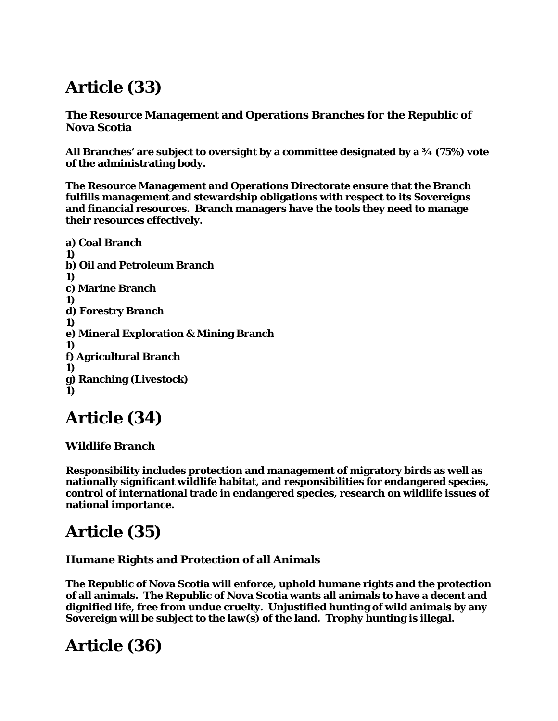# **Article (33)**

**The Resource Management and Operations Branches for the Republic of Nova Scotia**

**All Branches' are subject to oversight by a committee designated by a ¾ (75%) vote of the administrating body.**

**The Resource Management and Operations Directorate ensure that the Branch fulfills management and stewardship obligations with respect to its Sovereigns and financial resources. Branch managers have the tools they need to manage their resources effectively.**

```
a) Coal Branch
1)
b) Oil and Petroleum Branch
1)
c) Marine Branch
1)
d) Forestry Branch
1)
e) Mineral Exploration & Mining Branch
1)
f) Agricultural Branch
1)
g) Ranching (Livestock)
1)
```
## **Article (34)**

#### **Wildlife Branch**

**Responsibility includes protection and management of migratory birds as well as nationally significant wildlife habitat, and responsibilities for endangered species, control of international trade in endangered species, research on wildlife issues of national importance.**

## **Article (35)**

#### **Humane Rights and Protection of all Animals**

**The Republic of Nova Scotia will enforce, uphold humane rights and the protection of all animals. The Republic of Nova Scotia wants all animals to have a decent and dignified life, free from undue cruelty. Unjustified hunting of wild animals by any Sovereign will be subject to the law(s) of the land. Trophy hunting is illegal.**

### **Article (36)**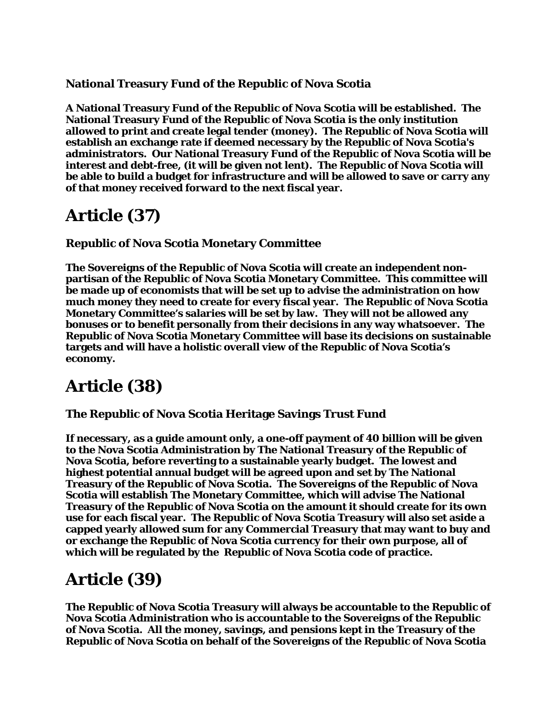#### **National Treasury Fund of the Republic of Nova Scotia**

**A National Treasury Fund of the Republic of Nova Scotia will be established. The National Treasury Fund of the Republic of Nova Scotia is the only institution allowed to print and create legal tender (money). The Republic of Nova Scotia will establish an exchange rate if deemed necessary by the Republic of Nova Scotia's administrators. Our National Treasury Fund of the Republic of Nova Scotia will be interest and debt-free, (it will be given not lent). The Republic of Nova Scotia will be able to build a budget for infrastructure and will be allowed to save or carry any of that money received forward to the next fiscal year.**

### **Article (37)**

**Republic of Nova Scotia Monetary Committee**

**The Sovereigns of the Republic of Nova Scotia will create an independent nonpartisan of the Republic of Nova Scotia Monetary Committee. This committee will be made up of economists that will be set up to advise the administration on how much money they need to create for every fiscal year. The Republic of Nova Scotia Monetary Committee's salaries will be set by law. They will not be allowed any bonuses or to benefit personally from their decisions in any way whatsoever. The Republic of Nova Scotia Monetary Committee will base its decisions on sustainable targets and will have a holistic overall view of the Republic of Nova Scotia's economy.**

### **Article (38)**

#### **The Republic of Nova Scotia Heritage Savings Trust Fund**

**If necessary, as a guide amount only, a one-off payment of 40 billion will be given to the Nova Scotia Administration by The National Treasury of the Republic of Nova Scotia, before reverting to a sustainable yearly budget. The lowest and highest potential annual budget will be agreed upon and set by The National Treasury of the Republic of Nova Scotia. The Sovereigns of the Republic of Nova Scotia will establish The Monetary Committee, which will advise The National Treasury of the Republic of Nova Scotia on the amount it should create for its own use for each fiscal year. The Republic of Nova Scotia Treasury will also set aside a capped yearly allowed sum for any Commercial Treasury that may want to buy and or exchange the Republic of Nova Scotia currency for their own purpose, all of which will be regulated by the Republic of Nova Scotia code of practice.**

### **Article (39)**

**The Republic of Nova Scotia Treasury will always be accountable to the Republic of Nova Scotia Administration who is accountable to the Sovereigns of the Republic of Nova Scotia. All the money, savings, and pensions kept in the Treasury of the Republic of Nova Scotia on behalf of the Sovereigns of the Republic of Nova Scotia**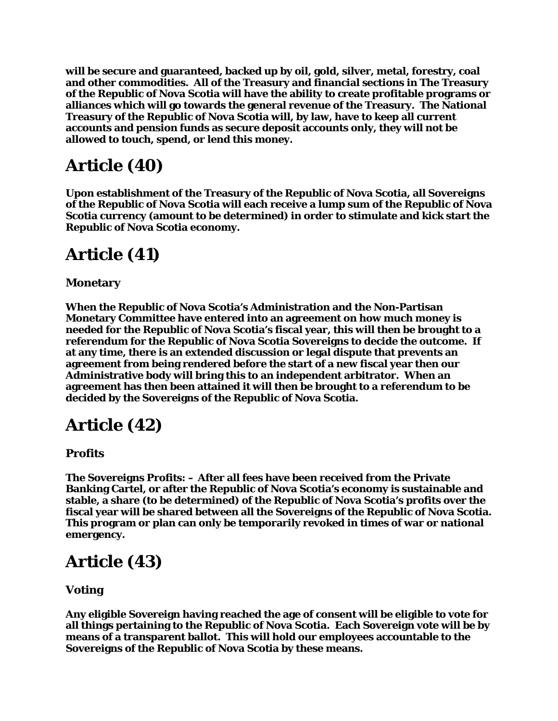**will be secure and guaranteed, backed up by oil, gold, silver, metal, forestry, coal and other commodities. All of the Treasury and financial sections in The Treasury of the Republic of Nova Scotia will have the ability to create profitable programs or alliances which will go towards the general revenue of the Treasury. The National Treasury of the Republic of Nova Scotia will, by law, have to keep all current accounts and pension funds as secure deposit accounts only, they will not be allowed to touch, spend, or lend this money.**

## **Article (40)**

**Upon establishment of the Treasury of the Republic of Nova Scotia, all Sovereigns of the Republic of Nova Scotia will each receive a lump sum of the Republic of Nova Scotia currency (amount to be determined) in order to stimulate and kick start the Republic of Nova Scotia economy.**

## **Article (41)**

#### **Monetary**

**When the Republic of Nova Scotia's Administration and the Non-Partisan Monetary Committee have entered into an agreement on how much money is needed for the Republic of Nova Scotia's fiscal year, this will then be brought to a referendum for the Republic of Nova Scotia Sovereigns to decide the outcome. If at any time, there is an extended discussion or legal dispute that prevents an agreement from being rendered before the start of a new fiscal year then our Administrative body will bring this to an independent arbitrator. When an agreement has then been attained it will then be brought to a referendum to be decided by the Sovereigns of the Republic of Nova Scotia.**

### **Article (42)**

**Profits**

**The Sovereigns Profits: – After all fees have been received from the Private Banking Cartel, or after the Republic of Nova Scotia's economy is sustainable and stable, a share (to be determined) of the Republic of Nova Scotia's profits over the fiscal year will be shared between all the Sovereigns of the Republic of Nova Scotia. This program or plan can only be temporarily revoked in times of war or national emergency.**

# **Article (43)**

#### **Voting**

**Any eligible Sovereign having reached the age of consent will be eligible to vote for all things pertaining to the Republic of Nova Scotia. Each Sovereign vote will be by means of a transparent ballot. This will hold our employees accountable to the Sovereigns of the Republic of Nova Scotia by these means.**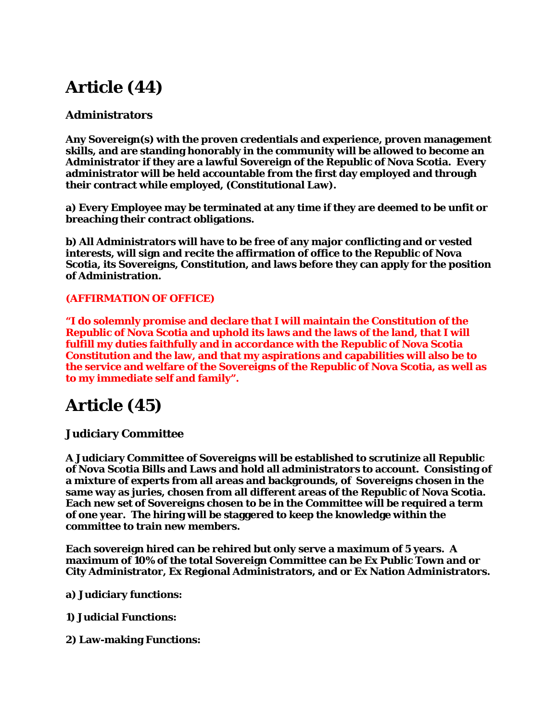# **Article (44)**

#### **Administrators**

**Any Sovereign(s) with the proven credentials and experience, proven management skills, and are standing honorably in the community will be allowed to become an Administrator if they are a lawful Sovereign of the Republic of Nova Scotia. Every administrator will be held accountable from the first day employed and through their contract while employed, (Constitutional Law).**

**a) Every Employee may be terminated at any time if they are deemed to be unfit or breaching their contract obligations.**

**b) All Administrators will have to be free of any major conflicting and or vested interests, will sign and recite the affirmation of office to the Republic of Nova Scotia, its Sovereigns, Constitution, and laws before they can apply for the position of Administration.**

#### **(AFFIRMATION OF OFFICE)**

**"I do solemnly promise and declare that I will maintain the Constitution of the Republic of Nova Scotia and uphold its laws and the laws of the land, that I will fulfill my duties faithfully and in accordance with the Republic of Nova Scotia Constitution and the law, and that my aspirations and capabilities will also be to the service and welfare of the Sovereigns of the Republic of Nova Scotia, as well as to my immediate self and family".**

### **Article (45)**

#### **Judiciary Committee**

**A Judiciary Committee of Sovereigns will be established to scrutinize all Republic of Nova Scotia Bills and Laws and hold all administrators to account. Consisting of a mixture of experts from all areas and backgrounds, of Sovereigns chosen in the same way as juries, chosen from all different areas of the Republic of Nova Scotia. Each new set of Sovereigns chosen to be in the Committee will be required a term of one year. The hiring will be staggered to keep the knowledge within the committee to train new members.** 

**Each sovereign hired can be rehired but only serve a maximum of 5 years. A maximum of 10% of the total Sovereign Committee can be Ex Public Town and or City Administrator, Ex Regional Administrators, and or Ex Nation Administrators.**

**a) Judiciary functions:**

**1) Judicial Functions:**

**2) Law-making Functions:**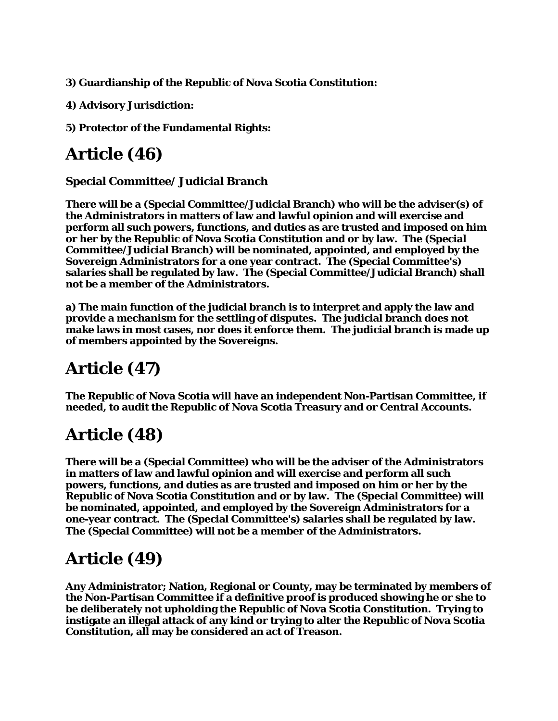**3) Guardianship of the Republic of Nova Scotia Constitution:**

**4) Advisory Jurisdiction:**

**5) Protector of the Fundamental Rights:**

# **Article (46)**

#### **Special Committee/ Judicial Branch**

**There will be a (Special Committee/Judicial Branch) who will be the adviser(s) of the Administrators in matters of law and lawful opinion and will exercise and perform all such powers, functions, and duties as are trusted and imposed on him or her by the Republic of Nova Scotia Constitution and or by law. The (Special Committee/Judicial Branch) will be nominated, appointed, and employed by the Sovereign Administrators for a one year contract. The (Special Committee's) salaries shall be regulated by law. The (Special Committee/Judicial Branch) shall not be a member of the Administrators.**

**a) The main function of the judicial branch is to interpret and apply the law and provide a mechanism for the settling of disputes. The judicial branch does not make laws in most cases, nor does it enforce them. The judicial branch is made up of members appointed by the Sovereigns.**

# **Article (47)**

**The Republic of Nova Scotia will have an independent Non-Partisan Committee, if needed, to audit the Republic of Nova Scotia Treasury and or Central Accounts.**

### **Article (48)**

**There will be a (Special Committee) who will be the adviser of the Administrators in matters of law and lawful opinion and will exercise and perform all such powers, functions, and duties as are trusted and imposed on him or her by the Republic of Nova Scotia Constitution and or by law. The (Special Committee) will be nominated, appointed, and employed by the Sovereign Administrators for a one-year contract. The (Special Committee's) salaries shall be regulated by law. The (Special Committee) will not be a member of the Administrators.**

# **Article (49)**

**Any Administrator; Nation, Regional or County, may be terminated by members of the Non-Partisan Committee if a definitive proof is produced showing he or she to be deliberately not upholding the Republic of Nova Scotia Constitution. Trying to instigate an illegal attack of any kind or trying to alter the Republic of Nova Scotia Constitution, all may be considered an act of Treason.**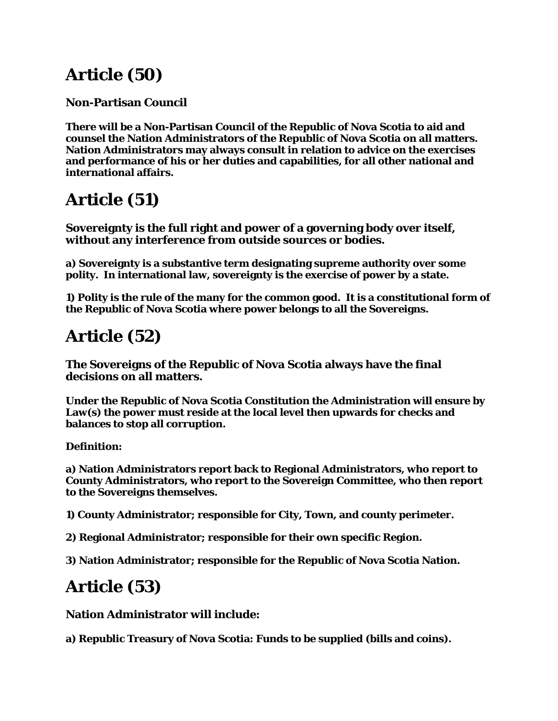## **Article (50)**

#### **Non-Partisan Council**

**There will be a Non-Partisan Council of the Republic of Nova Scotia to aid and counsel the Nation Administrators of the Republic of Nova Scotia on all matters. Nation Administrators may always consult in relation to advice on the exercises and performance of his or her duties and capabilities, for all other national and international affairs.**

## **Article (51)**

**Sovereignty is the full right and power of a governing body over itself, without any interference from outside sources or bodies.**

**a) Sovereignty is a substantive term designating supreme authority over some polity. In international law, sovereignty is the exercise of power by a state.**

**1) Polity is the rule of the many for the common good. It is a constitutional form of the Republic of Nova Scotia where power belongs to all the Sovereigns.**

### **Article (52)**

**The Sovereigns of the Republic of Nova Scotia always have the final decisions on all matters.**

**Under the Republic of Nova Scotia Constitution the Administration will ensure by Law(s) the power must reside at the local level then upwards for checks and balances to stop all corruption.**

**Definition:**

**a) Nation Administrators report back to Regional Administrators, who report to County Administrators, who report to the Sovereign Committee, who then report to the Sovereigns themselves.**

**1) County Administrator; responsible for City, Town, and county perimeter.**

**2) Regional Administrator; responsible for their own specific Region.**

**3) Nation Administrator; responsible for the Republic of Nova Scotia Nation.**

## **Article (53)**

**Nation Administrator will include:**

**a) Republic Treasury of Nova Scotia: Funds to be supplied (bills and coins).**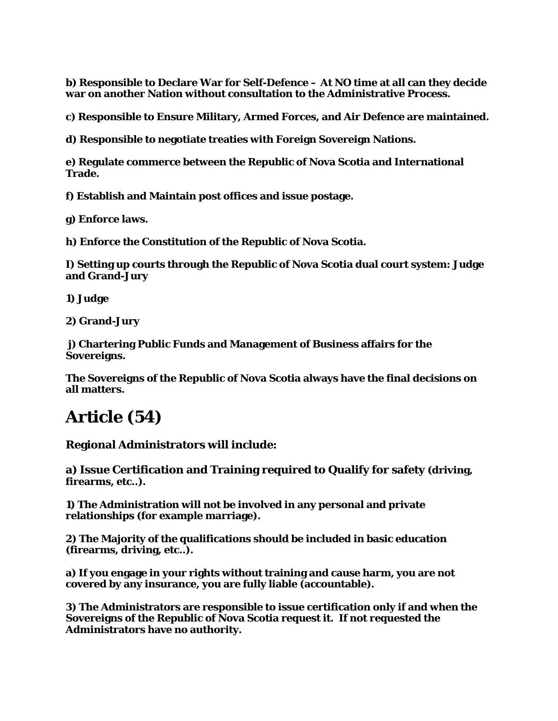**b) Responsible to Declare War for Self-Defence – At NO time at all can they decide war on another Nation without consultation to the Administrative Process.**

**c) Responsible to Ensure Military, Armed Forces, and Air Defence are maintained.**

**d) Responsible to negotiate treaties with Foreign Sovereign Nations.**

**e) Regulate commerce between the Republic of Nova Scotia and International Trade.**

**f) Establish and Maintain post offices and issue postage.**

**g) Enforce laws.**

**h) Enforce the Constitution of the Republic of Nova Scotia.**

**I) Setting up courts through the Republic of Nova Scotia dual court system: Judge and Grand-Jury**

**1) Judge**

**2) Grand-Jury**

**j) Chartering Public Funds and Management of Business affairs for the Sovereigns.**

**The Sovereigns of the Republic of Nova Scotia always have the final decisions on all matters.**

### **Article (54)**

**Regional Administrators will include:**

**a) Issue Certification and Training required to Qualify for safety (driving, firearms, etc..).**

**1) The Administration will not be involved in any personal and private relationships (for example marriage).**

**2) The Majority of the qualifications should be included in basic education (firearms, driving, etc..).**

**a) If you engage in your rights without training and cause harm, you are not covered by any insurance, you are fully liable (accountable).**

**3) The Administrators are responsible to issue certification only if and when the Sovereigns of the Republic of Nova Scotia request it. If not requested the Administrators have no authority.**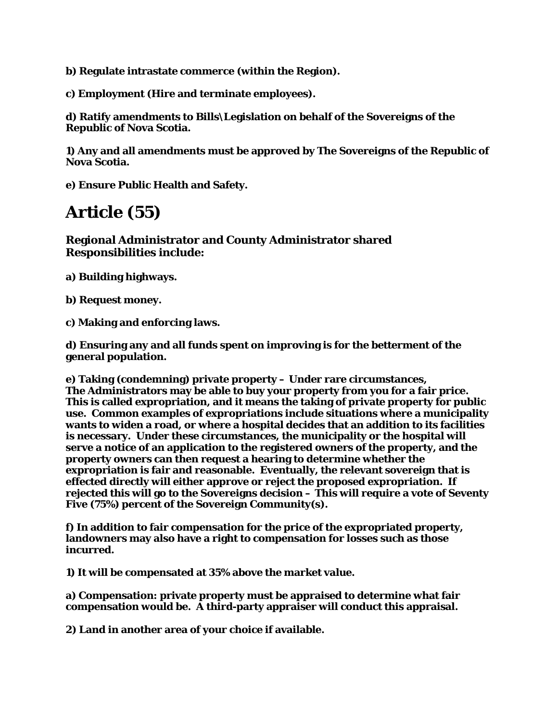**b) Regulate intrastate commerce (within the Region).**

**c) Employment (Hire and terminate employees).**

**d) Ratify amendments to Bills\Legislation on behalf of the Sovereigns of the Republic of Nova Scotia.**

**1) Any and all amendments must be approved by The Sovereigns of the Republic of Nova Scotia.**

**e) Ensure Public Health and Safety.**

### **Article (55)**

**Regional Administrator and County Administrator shared Responsibilities include:**

**a) Building highways.**

**b) Request money.**

**c) Making and enforcing laws.**

**d) Ensuring any and all funds spent on improving is for the betterment of the general population.**

**e) Taking (condemning) private property – Under rare circumstances, The Administrators may be able to buy your property from you for a fair price. This is called expropriation, and it means the taking of private property for public use. Common examples of expropriations include situations where a municipality wants to widen a road, or where a hospital decides that an addition to its facilities is necessary. Under these circumstances, the municipality or the hospital will serve a notice of an application to the registered owners of the property, and the property owners can then request a hearing to determine whether the expropriation is fair and reasonable. Eventually, the relevant sovereign that is effected directly will either approve or reject the proposed expropriation. If rejected this will go to the Sovereigns decision – This will require a vote of Seventy Five (75%) percent of the Sovereign Community(s).**

**f) In addition to fair compensation for the price of the expropriated property, landowners may also have a right to compensation for losses such as those incurred.**

**1) It will be compensated at 35% above the market value.**

**a) Compensation: private property must be appraised to determine what fair compensation would be. A third-party appraiser will conduct this appraisal.**

**2) Land in another area of your choice if available.**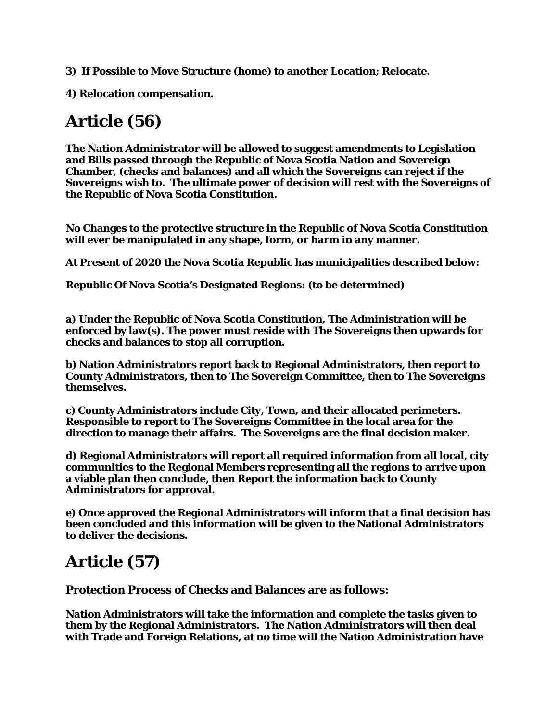- **3) If Possible to Move Structure (home) to another Location; Relocate.**
- **4) Relocation compensation.**

## **Article (56)**

**The Nation Administrator will be allowed to suggest amendments to Legislation and Bills passed through the Republic of Nova Scotia Nation and Sovereign Chamber, (checks and balances) and all which the Sovereigns can reject if the Sovereigns wish to. The ultimate power of decision will rest with the Sovereigns of the Republic of Nova Scotia Constitution.**

**No Changes to the protective structure in the Republic of Nova Scotia Constitution will ever be manipulated in any shape, form, or harm in any manner.**

**At Present of 2020 the Nova Scotia Republic has municipalities described below:**

**Republic Of Nova Scotia's Designated Regions: (to be determined)**

**a) Under the Republic of Nova Scotia Constitution, The Administration will be enforced by law(s). The power must reside with The Sovereigns then upwards for checks and balances to stop all corruption.**

**b) Nation Administrators report back to Regional Administrators, then report to County Administrators, then to The Sovereign Committee, then to The Sovereigns themselves.**

**c) County Administrators include City, Town, and their allocated perimeters. Responsible to report to The Sovereigns Committee in the local area for the direction to manage their affairs. The Sovereigns are the final decision maker.**

**d) Regional Administrators will report all required information from all local, city communities to the Regional Members representing all the regions to arrive upon a viable plan then conclude, then Report the information back to County Administrators for approval.**

**e) Once approved the Regional Administrators will inform that a final decision has been concluded and this information will be given to the National Administrators to deliver the decisions.**

## **Article (57)**

**Protection Process of Checks and Balances are as follows:**

**Nation Administrators will take the information and complete the tasks given to them by the Regional Administrators. The Nation Administrators will then deal with Trade and Foreign Relations, at no time will the Nation Administration have**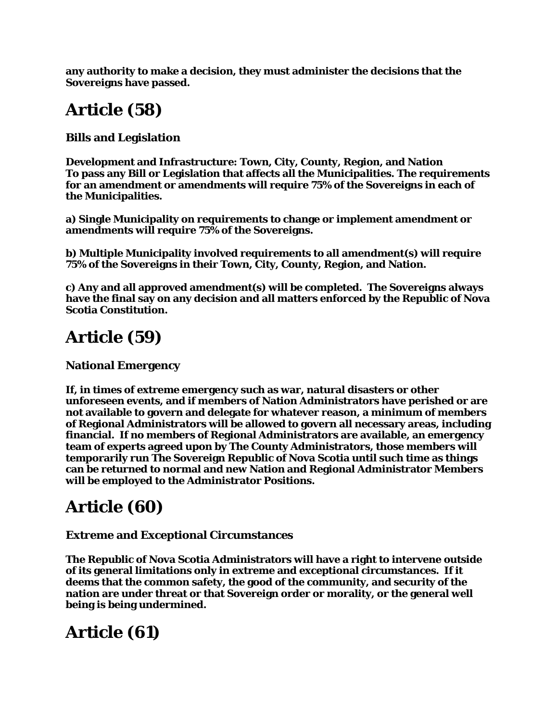**any authority to make a decision, they must administer the decisions that the Sovereigns have passed.**

## **Article (58)**

**Bills and Legislation**

**Development and Infrastructure: Town, City, County, Region, and Nation To pass any Bill or Legislation that affects all the Municipalities. The requirements for an amendment or amendments will require 75% of the Sovereigns in each of the Municipalities.**

**a) Single Municipality on requirements to change or implement amendment or amendments will require 75% of the Sovereigns.**

**b) Multiple Municipality involved requirements to all amendment(s) will require 75% of the Sovereigns in their Town, City, County, Region, and Nation.**

**c) Any and all approved amendment(s) will be completed. The Sovereigns always have the final say on any decision and all matters enforced by the Republic of Nova Scotia Constitution.**

## **Article (59)**

**National Emergency**

**If, in times of extreme emergency such as war, natural disasters or other unforeseen events, and if members of Nation Administrators have perished or are not available to govern and delegate for whatever reason, a minimum of members of Regional Administrators will be allowed to govern all necessary areas, including financial. If no members of Regional Administrators are available, an emergency team of experts agreed upon by The County Administrators, those members will temporarily run The Sovereign Republic of Nova Scotia until such time as things can be returned to normal and new Nation and Regional Administrator Members will be employed to the Administrator Positions.**

# **Article (60)**

#### **Extreme and Exceptional Circumstances**

**The Republic of Nova Scotia Administrators will have a right to intervene outside of its general limitations only in extreme and exceptional circumstances. If it deems that the common safety, the good of the community, and security of the nation are under threat or that Sovereign order or morality, or the general well being is being undermined.**

### **Article (61)**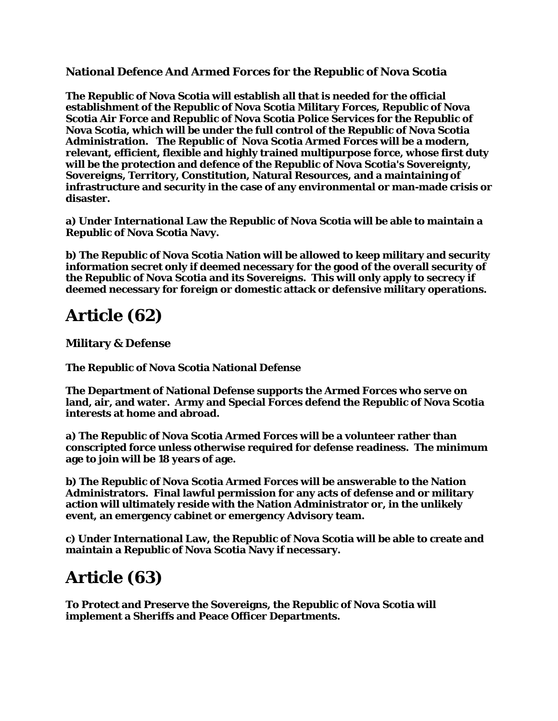#### **National Defence And Armed Forces for the Republic of Nova Scotia**

**The Republic of Nova Scotia will establish all that is needed for the official establishment of the Republic of Nova Scotia Military Forces, Republic of Nova Scotia Air Force and Republic of Nova Scotia Police Services for the Republic of Nova Scotia, which will be under the full control of the Republic of Nova Scotia Administration. The Republic of Nova Scotia Armed Forces will be a modern, relevant, efficient, flexible and highly trained multipurpose force, whose first duty will be the protection and defence of the Republic of Nova Scotia's Sovereignty, Sovereigns, Territory, Constitution, Natural Resources, and a maintaining of infrastructure and security in the case of any environmental or man-made crisis or disaster.**

**a) Under International Law the Republic of Nova Scotia will be able to maintain a Republic of Nova Scotia Navy.**

**b) The Republic of Nova Scotia Nation will be allowed to keep military and security information secret only if deemed necessary for the good of the overall security of the Republic of Nova Scotia and its Sovereigns. This will only apply to secrecy if deemed necessary for foreign or domestic attack or defensive military operations.**

### **Article (62)**

**Military & Defense**

**The Republic of Nova Scotia National Defense** 

**The Department of National Defense supports the Armed Forces who serve on land, air, and water. Army and Special Forces defend the Republic of Nova Scotia interests at home and abroad.**

**a) The Republic of Nova Scotia Armed Forces will be a volunteer rather than conscripted force unless otherwise required for defense readiness. The minimum age to join will be 18 years of age.**

**b) The Republic of Nova Scotia Armed Forces will be answerable to the Nation Administrators. Final lawful permission for any acts of defense and or military action will ultimately reside with the Nation Administrator or, in the unlikely event, an emergency cabinet or emergency Advisory team.**

**c) Under International Law, the Republic of Nova Scotia will be able to create and maintain a Republic of Nova Scotia Navy if necessary.**

### **Article (63)**

**To Protect and Preserve the Sovereigns, the Republic of Nova Scotia will implement a Sheriffs and Peace Officer Departments.**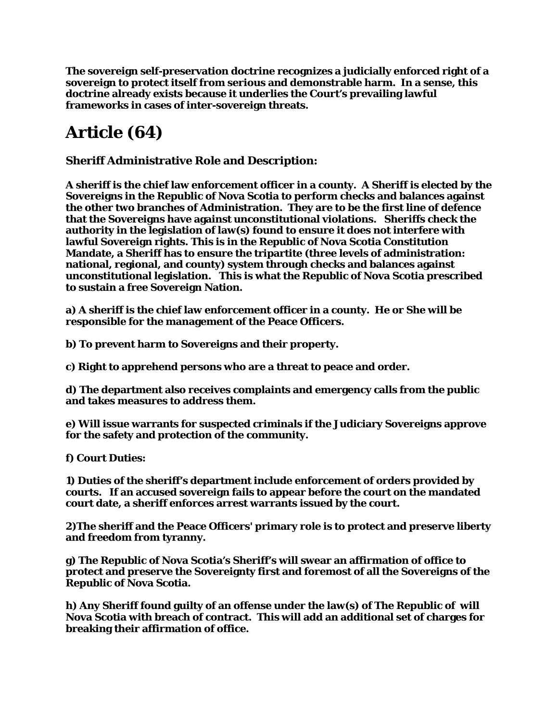**The sovereign self-preservation doctrine recognizes a judicially enforced right of a sovereign to protect itself from serious and demonstrable harm. In a sense, this doctrine already exists because it underlies the Court's prevailing lawful frameworks in cases of inter-sovereign threats.**

## **Article (64)**

**Sheriff Administrative Role and Description:**

**A sheriff is the chief law enforcement officer in a county. A Sheriff is elected by the Sovereigns in the Republic of Nova Scotia to perform checks and balances against the other two branches of Administration. They are to be the first line of defence that the Sovereigns have against unconstitutional violations. Sheriffs check the authority in the legislation of law(s) found to ensure it does not interfere with lawful Sovereign rights. This is in the Republic of Nova Scotia Constitution Mandate, a Sheriff has to ensure the tripartite (three levels of administration: national, regional, and county) system through checks and balances against unconstitutional legislation. This is what the Republic of Nova Scotia prescribed to sustain a free Sovereign Nation.**

**a) A sheriff is the chief law enforcement officer in a county. He or She will be responsible for the management of the Peace Officers.**

**b) To prevent harm to Sovereigns and their property.**

**c) Right to apprehend persons who are a threat to peace and order.**

**d) The department also receives complaints and emergency calls from the public and takes measures to address them.**

**e) Will issue warrants for suspected criminals if the Judiciary Sovereigns approve for the safety and protection of the community.**

**f) Court Duties:**

**1) Duties of the sheriff's department include enforcement of orders provided by courts. If an accused sovereign fails to appear before the court on the mandated court date, a sheriff enforces arrest warrants issued by the court.**

**2)The sheriff and the Peace Officers' primary role is to protect and preserve liberty and freedom from tyranny.**

**g) The Republic of Nova Scotia's Sheriff's will swear an affirmation of office to protect and preserve the Sovereignty first and foremost of all the Sovereigns of the Republic of Nova Scotia.**

**h) Any Sheriff found guilty of an offense under the law(s) of The Republic of will Nova Scotia with breach of contract. This will add an additional set of charges for breaking their affirmation of office.**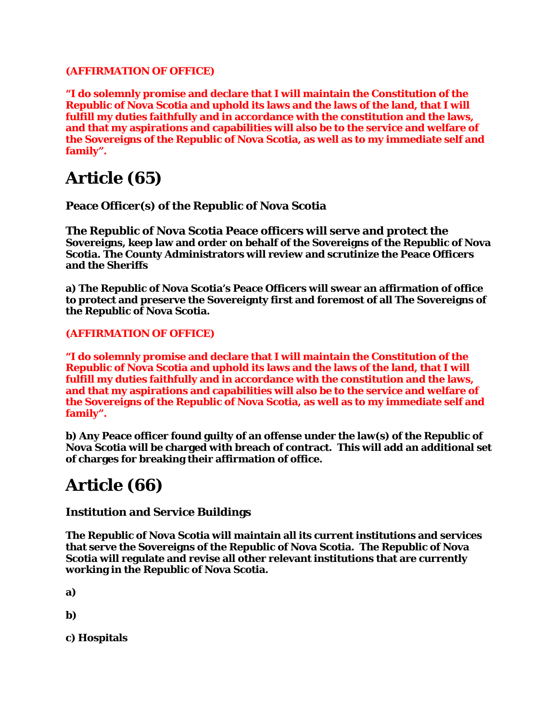#### **(AFFIRMATION OF OFFICE)**

**"I do solemnly promise and declare that I will maintain the Constitution of the Republic of Nova Scotia and uphold its laws and the laws of the land, that I will fulfill my duties faithfully and in accordance with the constitution and the laws, and that my aspirations and capabilities will also be to the service and welfare of the Sovereigns of the Republic of Nova Scotia, as well as to my immediate self and family".**

### **Article (65)**

**Peace Officer(s) of the Republic of Nova Scotia**

**The Republic of Nova Scotia Peace officers will serve and protect the Sovereigns, keep law and order on behalf of the Sovereigns of the Republic of Nova Scotia. The County Administrators will review and scrutinize the Peace Officers and the Sheriffs**

**a) The Republic of Nova Scotia's Peace Officers will swear an affirmation of office to protect and preserve the Sovereignty first and foremost of all The Sovereigns of the Republic of Nova Scotia.**

**(AFFIRMATION OF OFFICE)**

**"I do solemnly promise and declare that I will maintain the Constitution of the Republic of Nova Scotia and uphold its laws and the laws of the land, that I will fulfill my duties faithfully and in accordance with the constitution and the laws, and that my aspirations and capabilities will also be to the service and welfare of the Sovereigns of the Republic of Nova Scotia, as well as to my immediate self and family".**

**b) Any Peace officer found guilty of an offense under the law(s) of the Republic of Nova Scotia will be charged with breach of contract. This will add an additional set of charges for breaking their affirmation of office.**

### **Article (66)**

#### **Institution and Service Buildings**

**The Republic of Nova Scotia will maintain all its current institutions and services that serve the Sovereigns of the Republic of Nova Scotia. The Republic of Nova Scotia will regulate and revise all other relevant institutions that are currently working in the Republic of Nova Scotia.**

**a)**

**b)**

**c) Hospitals**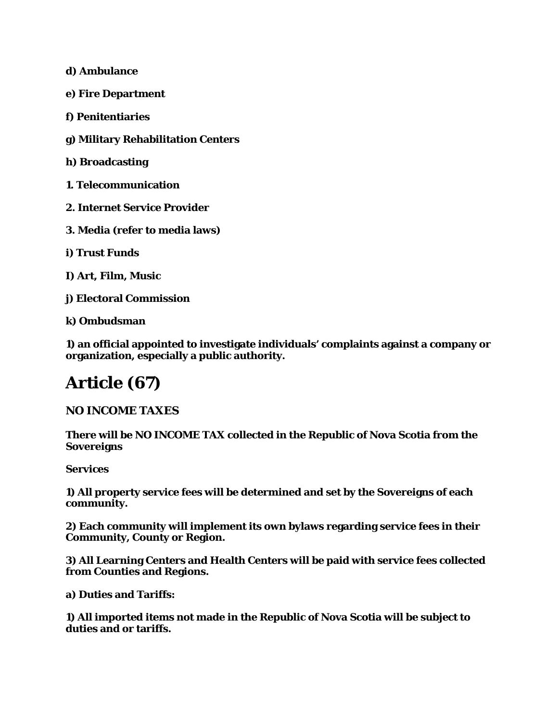**d) Ambulance**

**e) Fire Department**

**f) Penitentiaries**

**g) Military Rehabilitation Centers**

**h) Broadcasting**

**1. Telecommunication**

**2. Internet Service Provider**

**3. Media (refer to media laws)**

**i) Trust Funds**

**I) Art, Film, Music**

**j) Electoral Commission**

**k) Ombudsman**

**1) an official appointed to investigate individuals' complaints against a company or organization, especially a public authority.**

### **Article (67)**

#### **NO INCOME TAXES**

**There will be NO INCOME TAX collected in the Republic of Nova Scotia from the Sovereigns**

**Services** 

**1) All property service fees will be determined and set by the Sovereigns of each community.** 

**2) Each community will implement its own bylaws regarding service fees in their Community, County or Region.** 

**3) All Learning Centers and Health Centers will be paid with service fees collected from Counties and Regions.**

**a) Duties and Tariffs:**

**1) All imported items not made in the Republic of Nova Scotia will be subject to duties and or tariffs.**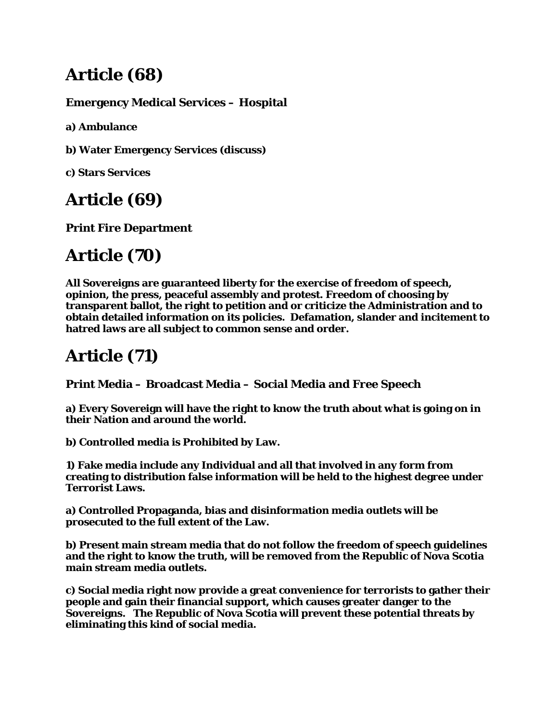# **Article (68)**

#### **Emergency Medical Services – Hospital**

**a) Ambulance**

**b) Water Emergency Services (discuss)**

**c) Stars Services**

# **Article (69)**

**Print Fire Department**

# **Article (70)**

**All Sovereigns are guaranteed liberty for the exercise of freedom of speech, opinion, the press, peaceful assembly and protest. Freedom of choosing by transparent ballot, the right to petition and or criticize the Administration and to obtain detailed information on its policies. Defamation, slander and incitement to hatred laws are all subject to common sense and order.**

# **Article (71)**

**Print Media – Broadcast Media – Social Media and Free Speech**

**a) Every Sovereign will have the right to know the truth about what is going on in their Nation and around the world.**

**b) Controlled media is Prohibited by Law.**

**1) Fake media include any Individual and all that involved in any form from creating to distribution false information will be held to the highest degree under Terrorist Laws.**

**a) Controlled Propaganda, bias and disinformation media outlets will be prosecuted to the full extent of the Law.**

**b) Present main stream media that do not follow the freedom of speech guidelines and the right to know the truth, will be removed from the Republic of Nova Scotia main stream media outlets.**

**c) Social media right now provide a great convenience for terrorists to gather their people and gain their financial support, which causes greater danger to the Sovereigns. The Republic of Nova Scotia will prevent these potential threats by eliminating this kind of social media.**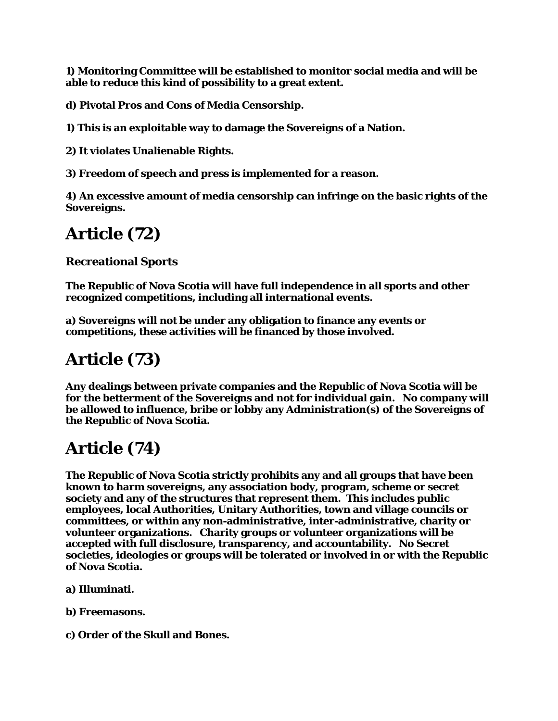**1) Monitoring Committee will be established to monitor social media and will be able to reduce this kind of possibility to a great extent.**

**d) Pivotal Pros and Cons of Media Censorship.**

**1) This is an exploitable way to damage the Sovereigns of a Nation.**

**2) It violates Unalienable Rights.**

**3) Freedom of speech and press is implemented for a reason.**

**4) An excessive amount of media censorship can infringe on the basic rights of the Sovereigns.**

## **Article (72)**

#### **Recreational Sports**

**The Republic of Nova Scotia will have full independence in all sports and other recognized competitions, including all international events.**

**a) Sovereigns will not be under any obligation to finance any events or competitions, these activities will be financed by those involved.**

## **Article (73)**

**Any dealings between private companies and the Republic of Nova Scotia will be for the betterment of the Sovereigns and not for individual gain. No company will be allowed to influence, bribe or lobby any Administration(s) of the Sovereigns of the Republic of Nova Scotia.**

## **Article (74)**

**The Republic of Nova Scotia strictly prohibits any and all groups that have been known to harm sovereigns, any association body, program, scheme or secret society and any of the structures that represent them. This includes public employees, local Authorities, Unitary Authorities, town and village councils or committees, or within any non-administrative, inter-administrative, charity or volunteer organizations. Charity groups or volunteer organizations will be accepted with full disclosure, transparency, and accountability. No Secret societies, ideologies or groups will be tolerated or involved in or with the Republic of Nova Scotia.**

- **a) Illuminati.**
- **b) Freemasons.**
- **c) Order of the Skull and Bones.**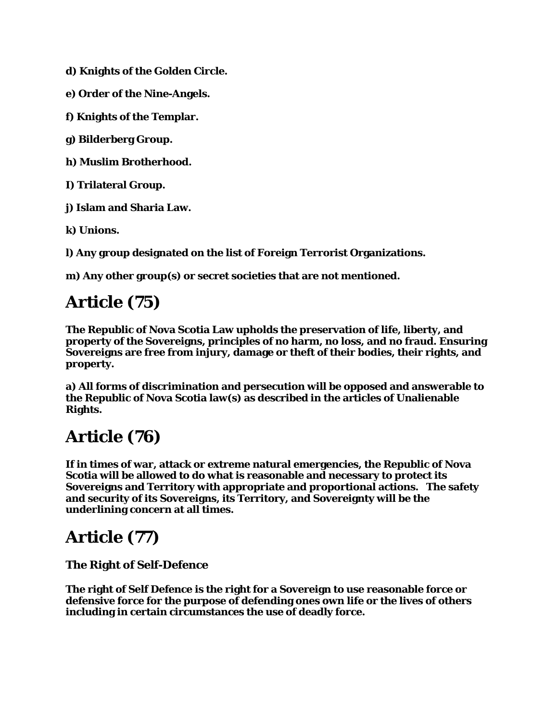**d) Knights of the Golden Circle.**

**e) Order of the Nine-Angels.**

**f) Knights of the Templar.**

**g) Bilderberg Group.**

**h) Muslim Brotherhood.**

**I) Trilateral Group.**

**j) Islam and Sharia Law.**

**k) Unions.**

**l) Any group designated on the list of Foreign Terrorist Organizations.**

**m) Any other group(s) or secret societies that are not mentioned.**

## **Article (75)**

**The Republic of Nova Scotia Law upholds the preservation of life, liberty, and property of the Sovereigns, principles of no harm, no loss, and no fraud. Ensuring Sovereigns are free from injury, damage or theft of their bodies, their rights, and property.**

**a) All forms of discrimination and persecution will be opposed and answerable to the Republic of Nova Scotia law(s) as described in the articles of Unalienable Rights.**

## **Article (76)**

**If in times of war, attack or extreme natural emergencies, the Republic of Nova Scotia will be allowed to do what is reasonable and necessary to protect its Sovereigns and Territory with appropriate and proportional actions. The safety and security of its Sovereigns, its Territory, and Sovereignty will be the underlining concern at all times.**

### **Article (77)**

**The Right of Self-Defence**

**The right of Self Defence is the right for a Sovereign to use reasonable force or defensive force for the purpose of defending ones own life or the lives of others including in certain circumstances the use of deadly force.**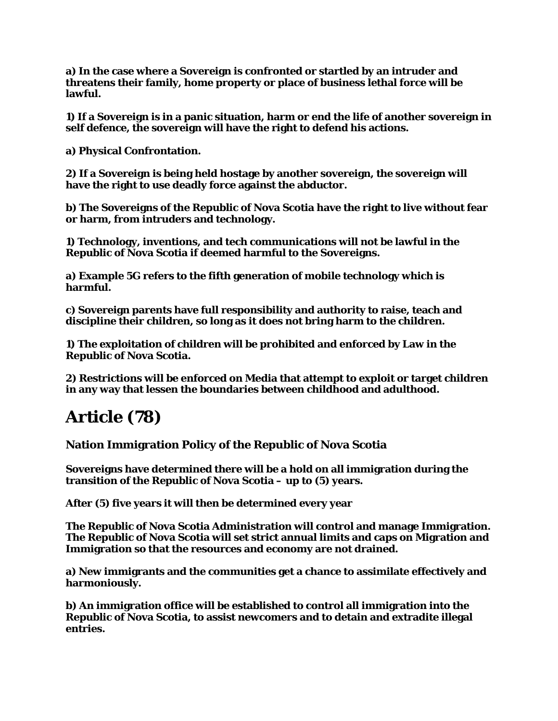**a) In the case where a Sovereign is confronted or startled by an intruder and threatens their family, home property or place of business lethal force will be lawful.**

**1) If a Sovereign is in a panic situation, harm or end the life of another sovereign in self defence, the sovereign will have the right to defend his actions.**

**a) Physical Confrontation.**

**2) If a Sovereign is being held hostage by another sovereign, the sovereign will have the right to use deadly force against the abductor.**

**b) The Sovereigns of the Republic of Nova Scotia have the right to live without fear or harm, from intruders and technology.**

**1) Technology, inventions, and tech communications will not be lawful in the Republic of Nova Scotia if deemed harmful to the Sovereigns.**

**a) Example 5G refers to the fifth generation of mobile technology which is harmful.**

**c) Sovereign parents have full responsibility and authority to raise, teach and discipline their children, so long as it does not bring harm to the children.**

**1) The exploitation of children will be prohibited and enforced by Law in the Republic of Nova Scotia.**

**2) Restrictions will be enforced on Media that attempt to exploit or target children in any way that lessen the boundaries between childhood and adulthood.**

### **Article (78)**

**Nation Immigration Policy of the Republic of Nova Scotia**

**Sovereigns have determined there will be a hold on all immigration during the transition of the Republic of Nova Scotia – up to (5) years.**

**After (5) five years it will then be determined every year**

**The Republic of Nova Scotia Administration will control and manage Immigration. The Republic of Nova Scotia will set strict annual limits and caps on Migration and Immigration so that the resources and economy are not drained.**

**a) New immigrants and the communities get a chance to assimilate effectively and harmoniously.**

**b) An immigration office will be established to control all immigration into the Republic of Nova Scotia, to assist newcomers and to detain and extradite illegal entries.**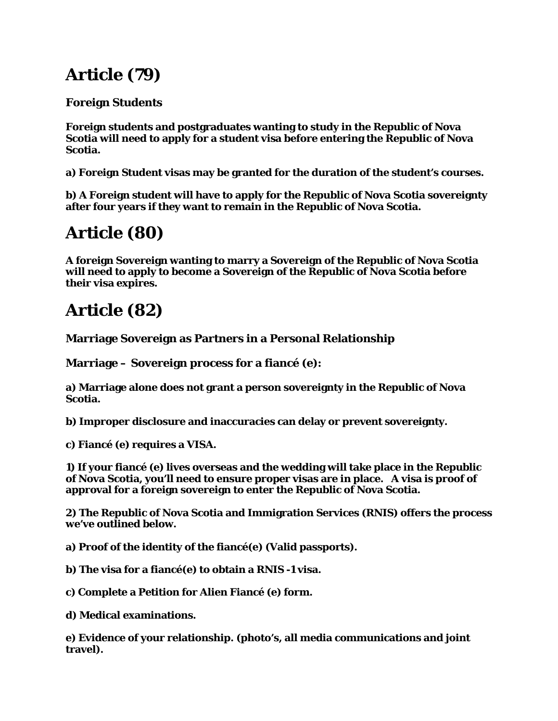## **Article (79)**

#### **Foreign Students**

**Foreign students and postgraduates wanting to study in the Republic of Nova Scotia will need to apply for a student visa before entering the Republic of Nova Scotia.**

**a) Foreign Student visas may be granted for the duration of the student's courses.**

**b) A Foreign student will have to apply for the Republic of Nova Scotia sovereignty after four years if they want to remain in the Republic of Nova Scotia.**

## **Article (80)**

**A foreign Sovereign wanting to marry a Sovereign of the Republic of Nova Scotia will need to apply to become a Sovereign of the Republic of Nova Scotia before their visa expires.**

## **Article (82)**

#### **Marriage Sovereign as Partners in a Personal Relationship**

**Marriage – Sovereign process for a fiancé (e):**

**a) Marriage alone does not grant a person sovereignty in the Republic of Nova Scotia.**

**b) Improper disclosure and inaccuracies can delay or prevent sovereignty.**

**c) Fiancé (e) requires a VISA.**

**1) If your fiancé (e) lives overseas and the wedding will take place in the Republic of Nova Scotia, you'll need to ensure proper visas are in place. A visa is proof of approval for a foreign sovereign to enter the Republic of Nova Scotia.**

**2) The Republic of Nova Scotia and Immigration Services (RNIS) offers the process we've outlined below.**

**a) Proof of the identity of the fiancé(e) (Valid passports).**

**b) The visa for a fiancé(e) to obtain a RNIS -1 visa.**

**c) Complete a Petition for Alien Fiancé (e) form.**

**d) Medical examinations.**

**e) Evidence of your relationship. (photo's, all media communications and joint travel).**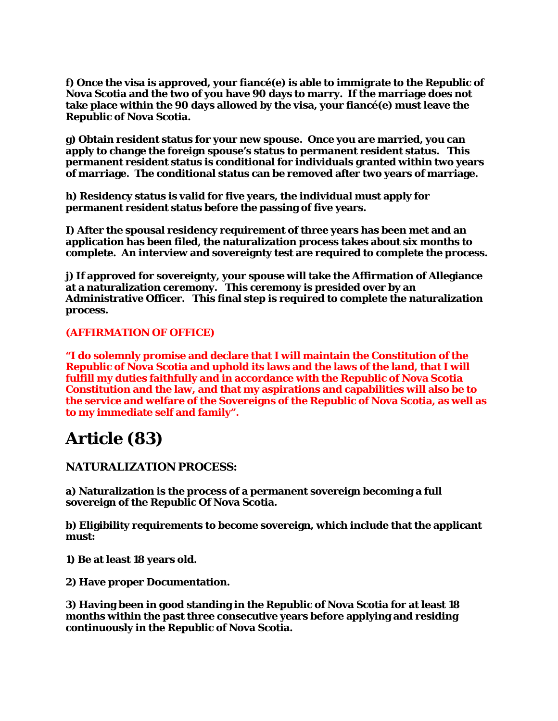**f) Once the visa is approved, your fiancé(e) is able to immigrate to the Republic of Nova Scotia and the two of you have 90 days to marry. If the marriage does not take place within the 90 days allowed by the visa, your fiancé(e) must leave the Republic of Nova Scotia.**

**g) Obtain resident status for your new spouse. Once you are married, you can apply to change the foreign spouse's status to permanent resident status. This permanent resident status is conditional for individuals granted within two years of marriage. The conditional status can be removed after two years of marriage.**

**h) Residency status is valid for five years, the individual must apply for permanent resident status before the passing of five years.**

**I) After the spousal residency requirement of three years has been met and an application has been filed, the naturalization process takes about six months to complete. An interview and sovereignty test are required to complete the process.**

**j) If approved for sovereignty, your spouse will take the Affirmation of Allegiance at a naturalization ceremony. This ceremony is presided over by an Administrative Officer. This final step is required to complete the naturalization process.**

#### **(AFFIRMATION OF OFFICE)**

**"I do solemnly promise and declare that I will maintain the Constitution of the Republic of Nova Scotia and uphold its laws and the laws of the land, that I will fulfill my duties faithfully and in accordance with the Republic of Nova Scotia Constitution and the law, and that my aspirations and capabilities will also be to the service and welfare of the Sovereigns of the Republic of Nova Scotia, as well as to my immediate self and family".**

### **Article (83)**

#### **NATURALIZATION PROCESS:**

**a) Naturalization is the process of a permanent sovereign becoming a full sovereign of the Republic Of Nova Scotia.**

**b) Eligibility requirements to become sovereign, which include that the applicant must:**

**1) Be at least 18 years old.**

**2) Have proper Documentation.**

**3) Having been in good standing in the Republic of Nova Scotia for at least 18 months within the past three consecutive years before applying and residing continuously in the Republic of Nova Scotia.**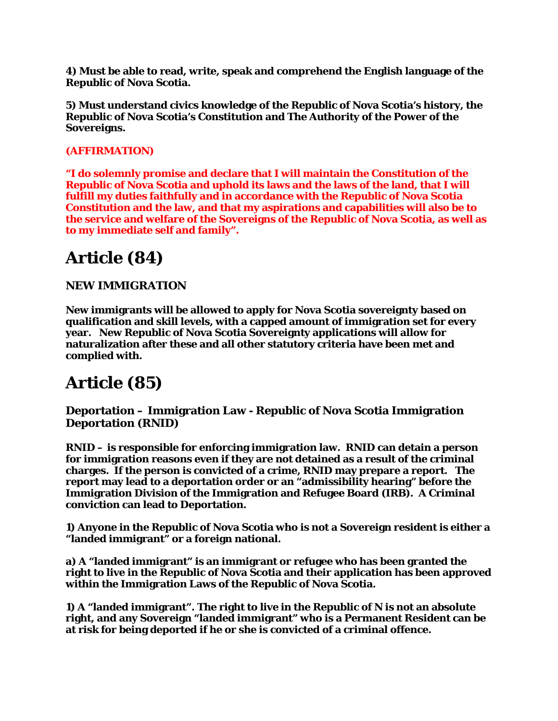**4) Must be able to read, write, speak and comprehend the English language of the Republic of Nova Scotia.**

**5) Must understand civics knowledge of the Republic of Nova Scotia's history, the Republic of Nova Scotia's Constitution and The Authority of the Power of the Sovereigns.**

#### **(AFFIRMATION)**

**"I do solemnly promise and declare that I will maintain the Constitution of the Republic of Nova Scotia and uphold its laws and the laws of the land, that I will fulfill my duties faithfully and in accordance with the Republic of Nova Scotia Constitution and the law, and that my aspirations and capabilities will also be to the service and welfare of the Sovereigns of the Republic of Nova Scotia, as well as to my immediate self and family".**

### **Article (84)**

#### **NEW IMMIGRATION**

**New immigrants will be allowed to apply for Nova Scotia sovereignty based on qualification and skill levels, with a capped amount of immigration set for every year. New Republic of Nova Scotia Sovereignty applications will allow for naturalization after these and all other statutory criteria have been met and complied with.**

### **Article (85)**

**Deportation – Immigration Law - Republic of Nova Scotia Immigration Deportation (RNID)**

**RNID – is responsible for enforcing immigration law. RNID can detain a person for immigration reasons even if they are not detained as a result of the criminal charges. If the person is convicted of a crime, RNID may prepare a report. The report may lead to a deportation order or an "admissibility hearing" before the Immigration Division of the Immigration and Refugee Board (IRB). A Criminal conviction can lead to Deportation.**

**1) Anyone in the Republic of Nova Scotia who is not a Sovereign resident is either a "landed immigrant" or a foreign national.**

**a) A "landed immigrant" is an immigrant or refugee who has been granted the right to live in the Republic of Nova Scotia and their application has been approved within the Immigration Laws of the Republic of Nova Scotia.**

**1) A "landed immigrant". The right to live in the Republic of N is not an absolute right, and any Sovereign "landed immigrant" who is a Permanent Resident can be at risk for being deported if he or she is convicted of a criminal offence.**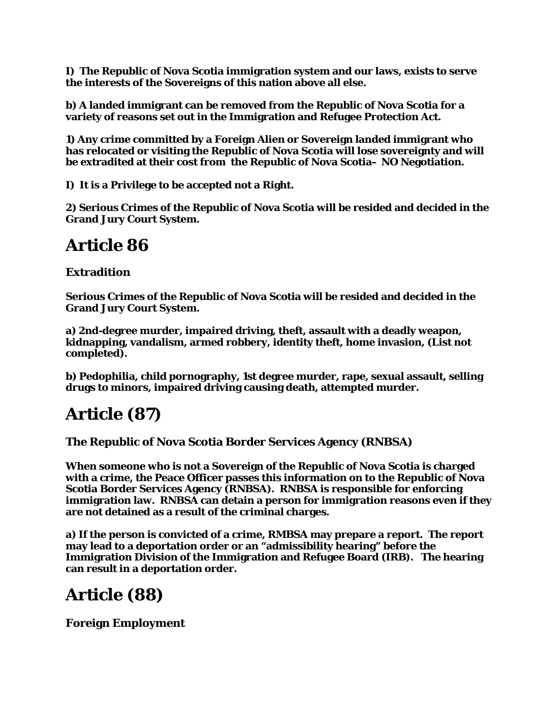**I) The Republic of Nova Scotia immigration system and our laws, exists to serve the interests of the Sovereigns of this nation above all else.**

**b) A landed immigrant can be removed from the Republic of Nova Scotia for a variety of reasons set out in the Immigration and Refugee Protection Act.**

**1) Any crime committed by a Foreign Alien or Sovereign landed immigrant who has relocated or visiting the Republic of Nova Scotia will lose sovereignty and will be extradited at their cost from the Republic of Nova Scotia– NO Negotiation.**

**I) It is a Privilege to be accepted not a Right.**

**2) Serious Crimes of the Republic of Nova Scotia will be resided and decided in the Grand Jury Court System.**

### **Article 86**

#### **Extradition**

**Serious Crimes of the Republic of Nova Scotia will be resided and decided in the Grand Jury Court System.**

**a) 2nd-degree murder, impaired driving, theft, assault with a deadly weapon, kidnapping, vandalism, armed robbery, identity theft, home invasion, (List not completed).**

**b) Pedophilia, child pornography, 1st degree murder, rape, sexual assault, selling drugs to minors, impaired driving causing death, attempted murder.**

### **Article (87)**

**The Republic of Nova Scotia Border Services Agency (RNBSA)**

**When someone who is not a Sovereign of the Republic of Nova Scotia is charged with a crime, the Peace Officer passes this information on to the Republic of Nova Scotia Border Services Agency (RNBSA). RNBSA is responsible for enforcing immigration law. RNBSA can detain a person for immigration reasons even if they are not detained as a result of the criminal charges.**

**a) If the person is convicted of a crime, RMBSA may prepare a report. The report may lead to a deportation order or an "admissibility hearing" before the Immigration Division of the Immigration and Refugee Board (IRB). The hearing can result in a deportation order.**

### **Article (88)**

**Foreign Employment**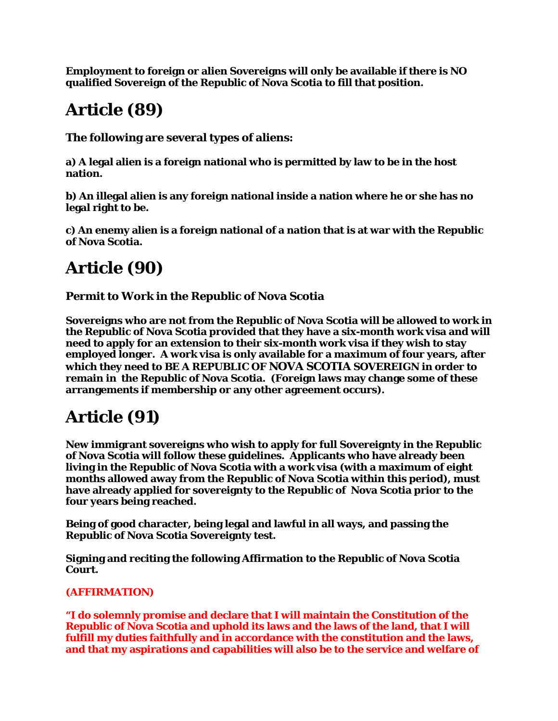**Employment to foreign or alien Sovereigns will only be available if there is NO qualified Sovereign of the Republic of Nova Scotia to fill that position.**

## **Article (89)**

**The following are several types of aliens:**

**a) A legal alien is a foreign national who is permitted by law to be in the host nation.**

**b) An illegal alien is any foreign national inside a nation where he or she has no legal right to be.**

**c) An enemy alien is a foreign national of a nation that is at war with the Republic of Nova Scotia.**

## **Article (90)**

**Permit to Work in the Republic of Nova Scotia**

**Sovereigns who are not from the Republic of Nova Scotia will be allowed to work in the Republic of Nova Scotia provided that they have a six-month work visa and will need to apply for an extension to their six-month work visa if they wish to stay employed longer. A work visa is only available for a maximum of four years, after which they need to BE A REPUBLIC OF NOVA SCOTIA SOVEREIGN in order to remain in the Republic of Nova Scotia. (Foreign laws may change some of these arrangements if membership or any other agreement occurs).**

# **Article (91)**

**New immigrant sovereigns who wish to apply for full Sovereignty in the Republic of Nova Scotia will follow these guidelines. Applicants who have already been living in the Republic of Nova Scotia with a work visa (with a maximum of eight months allowed away from the Republic of Nova Scotia within this period), must have already applied for sovereignty to the Republic of Nova Scotia prior to the four years being reached.** 

**Being of good character, being legal and lawful in all ways, and passing the Republic of Nova Scotia Sovereignty test.**

**Signing and reciting the following Affirmation to the Republic of Nova Scotia Court.**

#### **(AFFIRMATION)**

**"I do solemnly promise and declare that I will maintain the Constitution of the Republic of Nova Scotia and uphold its laws and the laws of the land, that I will fulfill my duties faithfully and in accordance with the constitution and the laws, and that my aspirations and capabilities will also be to the service and welfare of**